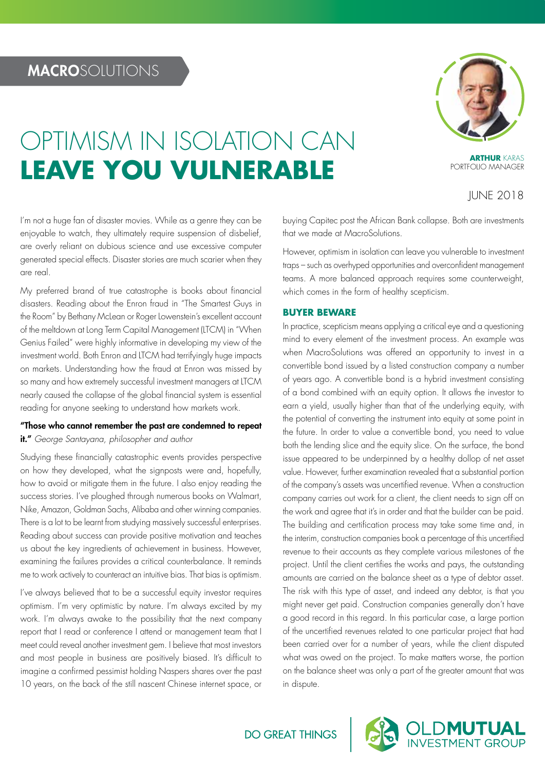# OPTIMISM IN ISOLATION CAN **LEAVE YOU VULNERABLE**

**ARTHUR** KARAS PORTFOLIO MANAGER

JUNE 2018

I'm not a huge fan of disaster movies. While as a genre they can be enjoyable to watch, they ultimately require suspension of disbelief, are overly reliant on dubious science and use excessive computer generated special effects. Disaster stories are much scarier when they are real.

My preferred brand of true catastrophe is books about financial disasters. Reading about the Enron fraud in "The Smartest Guys in the Room" by Bethany McLean or Roger Lowenstein's excellent account of the meltdown at Long Term Capital Management (LTCM) in "When Genius Failed" were highly informative in developing my view of the investment world. Both Enron and LTCM had terrifyingly huge impacts on markets. Understanding how the fraud at Enron was missed by so many and how extremely successful investment managers at LTCM nearly caused the collapse of the global financial system is essential reading for anyone seeking to understand how markets work.

# "Those who cannot remember the past are condemned to repeat it." *George Santayana, philosopher and author*

Studying these financially catastrophic events provides perspective on how they developed, what the signposts were and, hopefully, how to avoid or mitigate them in the future. I also enjoy reading the success stories. I've ploughed through numerous books on Walmart, Nike, Amazon, Goldman Sachs, Alibaba and other winning companies. There is a lot to be learnt from studying massively successful enterprises. Reading about success can provide positive motivation and teaches us about the key ingredients of achievement in business. However, examining the failures provides a critical counterbalance. It reminds me to work actively to counteract an intuitive bias. That bias is optimism.

I've always believed that to be a successful equity investor requires optimism. I'm very optimistic by nature. I'm always excited by my work. I'm always awake to the possibility that the next company report that I read or conference I attend or management team that I meet could reveal another investment gem. I believe that most investors and most people in business are positively biased. It's difficult to imagine a confirmed pessimist holding Naspers shares over the past 10 years, on the back of the still nascent Chinese internet space, or buying Capitec post the African Bank collapse. Both are investments that we made at MacroSolutions.

However, optimism in isolation can leave you vulnerable to investment traps – such as overhyped opportunities and overconfident management teams. A more balanced approach requires some counterweight, which comes in the form of healthy scepticism.

# **BUYER BEWARE**

In practice, scepticism means applying a critical eye and a questioning mind to every element of the investment process. An example was when MacroSolutions was offered an opportunity to invest in a convertible bond issued by a listed construction company a number of years ago. A convertible bond is a hybrid investment consisting of a bond combined with an equity option. It allows the investor to earn a yield, usually higher than that of the underlying equity, with the potential of converting the instrument into equity at some point in the future. In order to value a convertible bond, you need to value both the lending slice and the equity slice. On the surface, the bond issue appeared to be underpinned by a healthy dollop of net asset value. However, further examination revealed that a substantial portion of the company's assets was uncertified revenue. When a construction company carries out work for a client, the client needs to sign off on the work and agree that it's in order and that the builder can be paid. The building and certification process may take some time and, in the interim, construction companies book a percentage of this uncertified revenue to their accounts as they complete various milestones of the project. Until the client certifies the works and pays, the outstanding amounts are carried on the balance sheet as a type of debtor asset. The risk with this type of asset, and indeed any debtor, is that you might never get paid. Construction companies generally don't have a good record in this regard. In this particular case, a large portion of the uncertified revenues related to one particular project that had been carried over for a number of years, while the client disputed what was owed on the project. To make matters worse, the portion on the balance sheet was only a part of the greater amount that was in dispute.



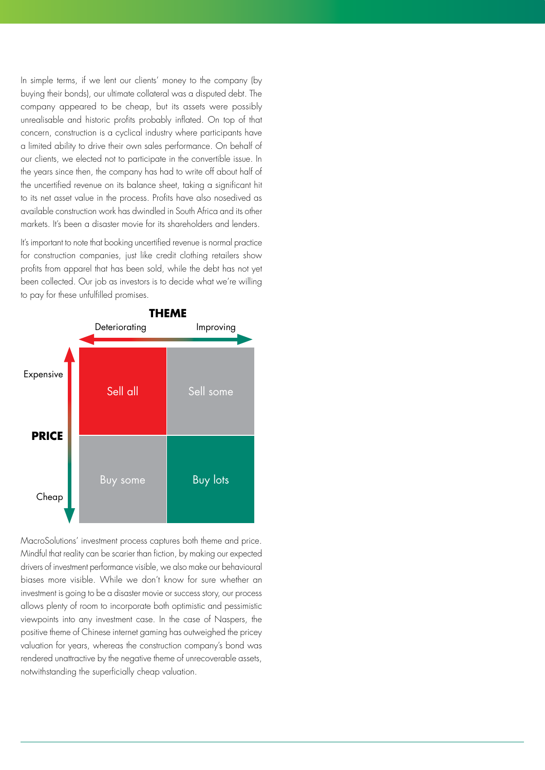In simple terms, if we lent our clients' money to the company (by buying their bonds), our ultimate collateral was a disputed debt. The company appeared to be cheap, but its assets were possibly unrealisable and historic profits probably inflated. On top of that concern, construction is a cyclical industry where participants have a limited ability to drive their own sales performance. On behalf of our clients, we elected not to participate in the convertible issue. In the years since then, the company has had to write off about half of the uncertified revenue on its balance sheet, taking a significant hit to its net asset value in the process. Profits have also nosedived as available construction work has dwindled in South Africa and its other markets. It's been a disaster movie for its shareholders and lenders.

It's important to note that booking uncertified revenue is normal practice for construction companies, just like credit clothing retailers show profits from apparel that has been sold, while the debt has not yet been collected. Our job as investors is to decide what we're willing to pay for these unfulfilled promises.



MacroSolutions' investment process captures both theme and price. Mindful that reality can be scarier than fiction, by making our expected drivers of investment performance visible, we also make our behavioural biases more visible. While we don't know for sure whether an investment is going to be a disaster movie or success story, our process allows plenty of room to incorporate both optimistic and pessimistic viewpoints into any investment case. In the case of Naspers, the positive theme of Chinese internet gaming has outweighed the pricey valuation for years, whereas the construction company's bond was rendered unattractive by the negative theme of unrecoverable assets, notwithstanding the superficially cheap valuation.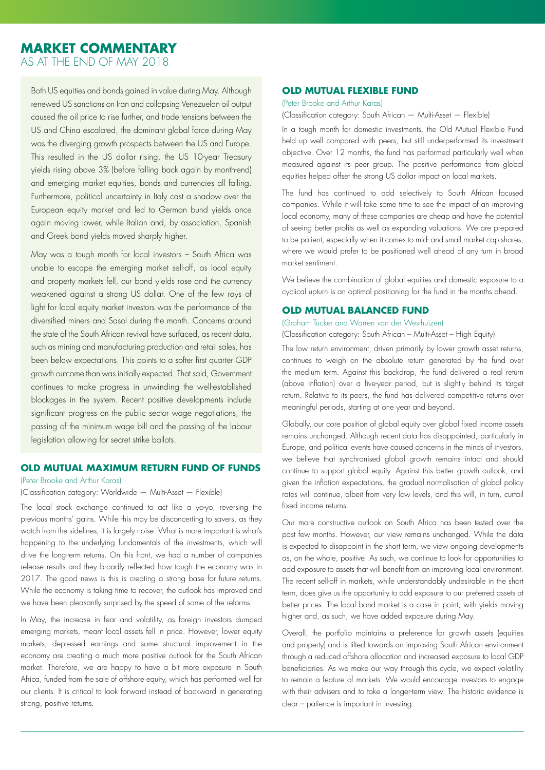# **MARKET COMMENTARY** AS AT THE END OF MAY 2018

Both US equities and bonds gained in value during May. Although renewed US sanctions on Iran and collapsing Venezuelan oil output caused the oil price to rise further, and trade tensions between the US and China escalated, the dominant global force during May was the diverging growth prospects between the US and Europe. This resulted in the US dollar rising, the US 10-year Treasury yields rising above 3% (before falling back again by month-end) and emerging market equities, bonds and currencies all falling. Furthermore, political uncertainty in Italy cast a shadow over the European equity market and led to German bund yields once again moving lower, while Italian and, by association, Spanish and Greek bond yields moved sharply higher.

May was a tough month for local investors – South Africa was unable to escape the emerging market sell-off, as local equity and property markets fell, our bond yields rose and the currency weakened against a strong US dollar. One of the few rays of light for local equity market investors was the performance of the diversified miners and Sasol during the month. Concerns around the state of the South African revival have surfaced, as recent data, such as mining and manufacturing production and retail sales, has been below expectations. This points to a softer first quarter GDP growth outcome than was initially expected. That said, Government continues to make progress in unwinding the well-established blockages in the system. Recent positive developments include significant progress on the public sector wage negotiations, the passing of the minimum wage bill and the passing of the labour legislation allowing for secret strike ballots.

# **OLD MUTUAL MAXIMUM RETURN FUND OF FUNDS**

# (Peter Brooke and Arthur Karas)

# (Classification category: Worldwide — Multi-Asset — Flexible)

The local stock exchange continued to act like a yo-yo, reversing the previous months' gains. While this may be disconcerting to savers, as they watch from the sidelines, it is largely noise. What is more important is what's happening to the underlying fundamentals of the investments, which will drive the long-term returns. On this front, we had a number of companies release results and they broadly reflected how tough the economy was in 2017. The good news is this is creating a strong base for future returns. While the economy is taking time to recover, the outlook has improved and we have been pleasantly surprised by the speed of some of the reforms.

In May, the increase in fear and volatility, as foreign investors dumped emerging markets, meant local assets fell in price. However, lower equity markets, depressed earnings and some structural improvement in the economy are creating a much more positive outlook for the South African market. Therefore, we are happy to have a bit more exposure in South Africa, funded from the sale of offshore equity, which has performed well for our clients. It is critical to look forward instead of backward in generating strong, positive returns.

# **OLD MUTUAL FLEXIBLE FUND**

# (Peter Brooke and Arthur Karas)

(Classification category: South African — Multi-Asset — Flexible)

In a tough month for domestic investments, the Old Mutual Flexible Fund held up well compared with peers, but still underperformed its investment objective. Over 12 months, the fund has performed particularly well when measured against its peer group. The positive performance from global equities helped offset the strong US dollar impact on local markets.

The fund has continued to add selectively to South African focused companies. While it will take some time to see the impact of an improving local economy, many of these companies are cheap and have the potential of seeing better profits as well as expanding valuations. We are prepared to be patient, especially when it comes to mid- and small market cap shares, where we would prefer to be positioned well ahead of any turn in broad market sentiment.

We believe the combination of global equities and domestic exposure to a cyclical upturn is an optimal positioning for the fund in the months ahead.

# **OLD MUTUAL BALANCED FUND**

### (Graham Tucker and Warren van der Westhuizen)

(Classification category: South African – Multi-Asset – High Equity)

The low return environment, driven primarily by lower growth asset returns, continues to weigh on the absolute return generated by the fund over the medium term. Against this backdrop, the fund delivered a real return (above inflation) over a five-year period, but is slightly behind its target return. Relative to its peers, the fund has delivered competitive returns over meaningful periods, starting at one year and beyond.

Globally, our core position of global equity over global fixed income assets remains unchanged. Although recent data has disappointed, particularly in Europe, and political events have caused concerns in the minds of investors, we believe that synchronised global growth remains intact and should continue to support global equity. Against this better growth outlook, and given the inflation expectations, the gradual normalisation of global policy rates will continue, albeit from very low levels, and this will, in turn, curtail fixed income returns.

Our more constructive outlook on South Africa has been tested over the past few months. However, our view remains unchanged. While the data is expected to disappoint in the short term, we view ongoing developments as, on the whole, positive. As such, we continue to look for opportunities to add exposure to assets that will benefit from an improving local environment. The recent sell-off in markets, while understandably undesirable in the short term, does give us the opportunity to add exposure to our preferred assets at better prices. The local bond market is a case in point, with yields moving higher and, as such, we have added exposure during May.

Overall, the portfolio maintains a preference for growth assets (equities and property) and is tilted towards an improving South African environment through a reduced offshore allocation and increased exposure to local GDP beneficiaries. As we make our way through this cycle, we expect volatility to remain a feature of markets. We would encourage investors to engage with their advisers and to take a longer-term view. The historic evidence is clear – patience is important in investing.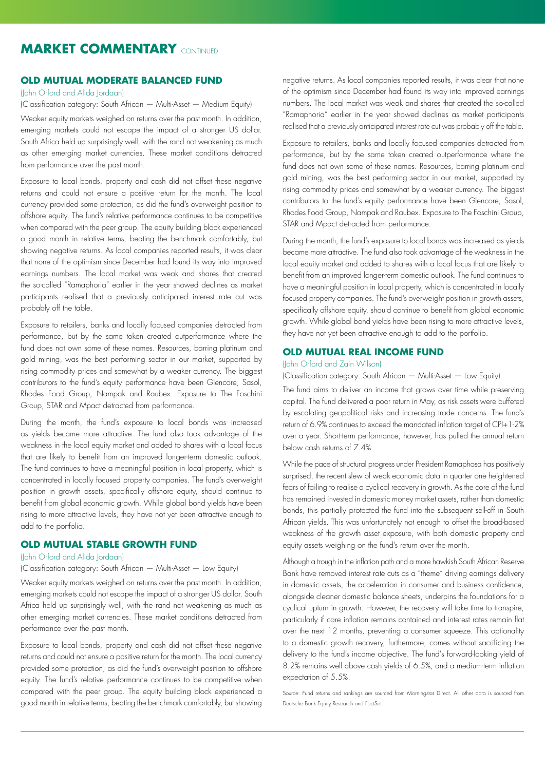# **MARKET COMMENTARY** CONTINUED

# **OLD MUTUAL MODERATE BALANCED FUND**

(John Orford and Alida Jordaan)

(Classification category: South African — Multi-Asset — Medium Equity)

Weaker equity markets weighed on returns over the past month. In addition, emerging markets could not escape the impact of a stronger US dollar. South Africa held up surprisingly well, with the rand not weakening as much as other emerging market currencies. These market conditions detracted from performance over the past month.

Exposure to local bonds, property and cash did not offset these negative returns and could not ensure a positive return for the month. The local currency provided some protection, as did the fund's overweight position to offshore equity. The fund's relative performance continues to be competitive when compared with the peer group. The equity building block experienced a good month in relative terms, beating the benchmark comfortably, but showing negative returns. As local companies reported results, it was clear that none of the optimism since December had found its way into improved earnings numbers. The local market was weak and shares that created the so-called "Ramaphoria" earlier in the year showed declines as market participants realised that a previously anticipated interest rate cut was probably off the table.

Exposure to retailers, banks and locally focused companies detracted from performance, but by the same token created outperformance where the fund does not own some of these names. Resources, barring platinum and gold mining, was the best performing sector in our market, supported by rising commodity prices and somewhat by a weaker currency. The biggest contributors to the fund's equity performance have been Glencore, Sasol, Rhodes Food Group, Nampak and Raubex. Exposure to The Foschini Group, STAR and Mpact detracted from performance.

During the month, the fund's exposure to local bonds was increased as yields became more attractive. The fund also took advantage of the weakness in the local equity market and added to shares with a local focus that are likely to benefit from an improved longer-term domestic outlook. The fund continues to have a meaningful position in local property, which is concentrated in locally focused property companies. The fund's overweight position in growth assets, specifically offshore equity, should continue to benefit from global economic growth. While global bond yields have been rising to more attractive levels, they have not yet been attractive enough to add to the portfolio.

# **OLD MUTUAL STABLE GROWTH FUND**

# (John Orford and Alida Jordaan)

# (Classification category: South African — Multi-Asset — Low Equity)

Weaker equity markets weighed on returns over the past month. In addition, emerging markets could not escape the impact of a stronger US dollar. South Africa held up surprisingly well, with the rand not weakening as much as other emerging market currencies. These market conditions detracted from performance over the past month.

Exposure to local bonds, property and cash did not offset these negative returns and could not ensure a positive return for the month. The local currency provided some protection, as did the fund's overweight position to offshore equity. The fund's relative performance continues to be competitive when compared with the peer group. The equity building block experienced a good month in relative terms, beating the benchmark comfortably, but showing

negative returns. As local companies reported results, it was clear that none of the optimism since December had found its way into improved earnings numbers. The local market was weak and shares that created the so-called "Ramaphoria" earlier in the year showed declines as market participants realised that a previously anticipated interest rate cut was probably off the table.

Exposure to retailers, banks and locally focused companies detracted from performance, but by the same token created outperformance where the fund does not own some of these names. Resources, barring platinum and gold mining, was the best performing sector in our market, supported by rising commodity prices and somewhat by a weaker currency. The biggest contributors to the fund's equity performance have been Glencore, Sasol, Rhodes Food Group, Nampak and Raubex. Exposure to The Foschini Group, STAR and Mpact detracted from performance.

During the month, the fund's exposure to local bonds was increased as yields became more attractive. The fund also took advantage of the weakness in the local equity market and added to shares with a local focus that are likely to benefit from an improved longer-term domestic outlook. The fund continues to have a meaningful position in local property, which is concentrated in locally focused property companies. The fund's overweight position in growth assets, specifically offshore equity, should continue to benefit from global economic growth. While global bond yields have been rising to more attractive levels, they have not yet been attractive enough to add to the portfolio.

# **OLD MUTUAL REAL INCOME FUND**

# (John Orford and Zain Wilson)

(Classification category: South African — Multi-Asset — Low Equity)

The fund aims to deliver an income that grows over time while preserving capital. The fund delivered a poor return in May, as risk assets were buffeted by escalating geopolitical risks and increasing trade concerns. The fund's return of 6.9% continues to exceed the mandated inflation target of CPI+1-2% over a year. Short-term performance, however, has pulled the annual return below cash returns of 7.4%.

While the pace of structural progress under President Ramaphosa has positively surprised, the recent slew of weak economic data in quarter one heightened fears of failing to realise a cyclical recovery in growth. As the core of the fund has remained invested in domestic money market assets, rather than domestic bonds, this partially protected the fund into the subsequent sell-off in South African yields. This was unfortunately not enough to offset the broad-based weakness of the growth asset exposure, with both domestic property and equity assets weighing on the fund's return over the month.

Although a trough in the inflation path and a more hawkish South African Reserve Bank have removed interest rate cuts as a "theme" driving earnings delivery in domestic assets, the acceleration in consumer and business confidence, alongside cleaner domestic balance sheets, underpins the foundations for a cyclical upturn in growth. However, the recovery will take time to transpire, particularly if core inflation remains contained and interest rates remain flat over the next 12 months, preventing a consumer squeeze. This optionality to a domestic growth recovery, furthermore, comes without sacrificing the delivery to the fund's income objective. The fund's forward-looking yield of 8.2% remains well above cash yields of 6.5%, and a medium-term inflation expectation of 5.5%.

Source: Fund returns and rankings are sourced from Morningstar Direct. All other data is sourced from Deutsche Bank Equity Research and FactSet.